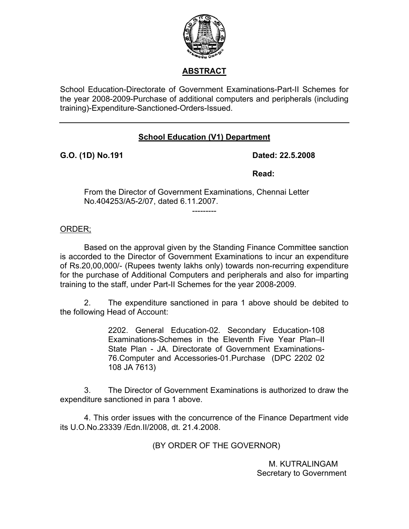

## **ABSTRACT**

School Education-Directorate of Government Examinations-Part-II Schemes for the year 2008-2009-Purchase of additional computers and peripherals (including training)-Expenditure-Sanctioned-Orders-Issued.

## **School Education (V1) Department**

**G.O. (1D) No.191 Dated: 22.5.2008** 

*Read:* **Read:** 

From the Director of Government Examinations, Chennai Letter No.404253/A5-2/07, dated 6.11.2007.

---------

ORDER;

Based on the approval given by the Standing Finance Committee sanction is accorded to the Director of Government Examinations to incur an expenditure of Rs.20,00,000/- (Rupees twenty lakhs only) towards non-recurring expenditure for the purchase of Additional Computers and peripherals and also for imparting training to the staff, under Part-II Schemes for the year 2008-2009.

 2. The expenditure sanctioned in para 1 above should be debited to the following Head of Account:

> 2202. General Education-02. Secondary Education-108 Examinations-Schemes in the Eleventh Five Year Plan–II State Plan - JA. Directorate of Government Examinations-76.Computer and Accessories-01.Purchase (DPC 2202 02 108 JA 7613)

 3. The Director of Government Examinations is authorized to draw the expenditure sanctioned in para 1 above.

4. This order issues with the concurrence of the Finance Department vide its U.O.No.23339 /Edn.II/2008, dt. 21.4.2008.

(BY ORDER OF THE GOVERNOR)

 M. KUTRALINGAM Secretary to Government